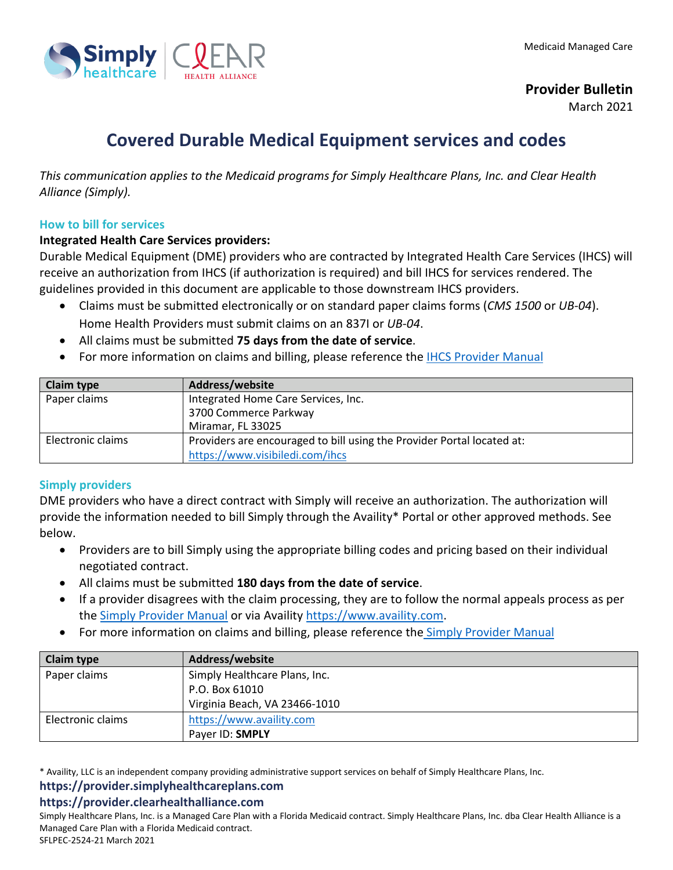

**Provider Bulletin**

March 2021

# **Covered Durable Medical Equipment services and codes**

*This communication applies to the Medicaid programs for Simply Healthcare Plans, Inc. and Clear Health Alliance (Simply).*

#### **How to bill for services**

#### **Integrated Health Care Services providers:**

Durable Medical Equipment (DME) providers who are contracted by Integrated Health Care Services (IHCS) will receive an authorization from IHCS (if authorization is required) and bill IHCS for services rendered. The guidelines provided in this document are applicable to those downstream IHCS providers.

- Claims must be submitted electronically or on standard paper claims forms (*CMS 1500* or *UB-04*). Home Health Providers must submit claims on an 837I or *UB-04*.
- All claims must be submitted **75 days from the date of service**.
- For more information on claims and billing, please reference the **IHCS Provider Manual**

| <b>Claim type</b> | Address/website                                                        |
|-------------------|------------------------------------------------------------------------|
| Paper claims      | Integrated Home Care Services, Inc.                                    |
|                   | 3700 Commerce Parkway                                                  |
|                   | Miramar, FL 33025                                                      |
| Electronic claims | Providers are encouraged to bill using the Provider Portal located at: |
|                   | https://www.visibiledi.com/ihcs                                        |

### **Simply providers**

DME providers who have a direct contract with Simply will receive an authorization. The authorization will provide the information needed to bill Simply through the Availity\* Portal or other approved methods. See below.

- Providers are to bill Simply using the appropriate billing codes and pricing based on their individual negotiated contract.
- All claims must be submitted **180 days from the date of service**.
- If a provider disagrees with the claim processing, they are to follow the normal appeals process as per the [Simply Provider Manual](https://provider.simplyhealthcareplans.com/docs/gpp/FLFL_SMH_FHKProviderManual.pdf?v=202102231922) or via Availity [https://www.availity.com.](https://www.availity.com/)
- For more information on claims and billing, please reference the [Simply Provider Manual](https://provider.simplyhealthcareplans.com/docs/gpp/FLFL_SMH_FHKProviderManual.pdf?v=202102231922)

| <b>Claim type</b> | Address/website               |
|-------------------|-------------------------------|
| Paper claims      | Simply Healthcare Plans, Inc. |
|                   | P.O. Box 61010                |
|                   | Virginia Beach, VA 23466-1010 |
| Electronic claims | https://www.availity.com      |
|                   | Paver ID: <b>SMPLY</b>        |

\* Availity, LLC is an independent company providing administrative support services on behalf of Simply Healthcare Plans, Inc.

# **https://provider.simplyhealthcareplans.com**

### **https://provider.clearhealthalliance.com**

Simply Healthcare Plans, Inc. is a Managed Care Plan with a Florida Medicaid contract. Simply Healthcare Plans, Inc. dba Clear Health Alliance is a Managed Care Plan with a Florida Medicaid contract. SFLPEC-2524-21 March 2021